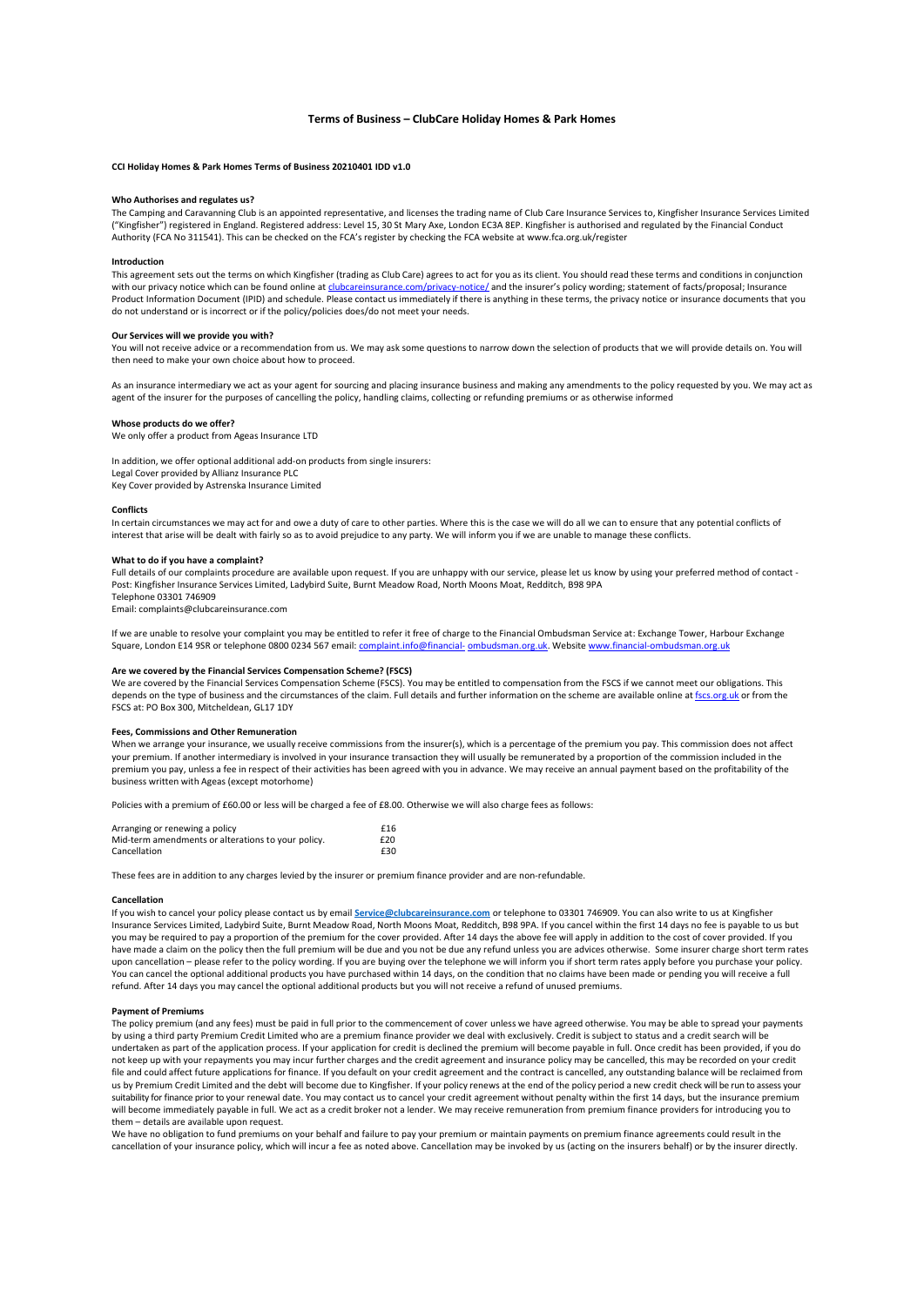# **Terms of Business – ClubCare Holiday Homes & Park Homes**

# **CCI Holiday Homes & Park Homes Terms of Business 20210401 IDD v1.0**

# **Who Authorises and regulates us?**

The Camping and Caravanning Club is an appointed representative, and licenses the trading name of Club Care Insurance Services to, Kingfisher Insurance Services Limited ("Kingfisher") registered in England. Registered address: Level 15, 30 St Mary Axe, London EC3A 8EP. Kingfisher is authorised and regulated by the Financial Conduct Authority (FCA No 311541). This can be checked on the FCA's register by checking the FCA website at [www.fca.org.uk/register](http://www.fca.org.uk/register)

## **Introduction**

This agreement sets out the terms on which Kingfisher (trading as Club Care) agrees to act for you as its client. You should read these terms and conditions in conjunction with our privacy notice which can be found online a[t clubcareinsurance.com/privacy-notice/](https://www.clubcareinsurance.com/privacy-notice/) and the insurer's policy wording; statement of facts/proposal; Insurance Product Information Document (IPID) and schedule. Please contact us immediately if there is anything in these terms, the privacy notice or insurance documents that you do not understand or is incorrect or if the policy/policies does/do not meet your needs.

#### **Our Services will we provide you with?**

You will not receive advice or a recommendation from us. We may ask some questions to narrow down the selection of products that we will provide details on. You will then need to make your own choice about how to proceed.

As an insurance intermediary we act as your agent for sourcing and placing insurance business and making any amendments to the policy requested by you. We may act as agent of the insurer for the purposes of cancelling the policy, handling claims, collecting or refunding premiums or as otherwise informed

### **Whose products do we offer?**

We only offer a product from Ageas Insurance LTD

In addition, we offer optional additional add-on products from single insurers: Legal Cover provided by Allianz Insurance PLC Key Cover provided by Astrenska Insurance Limited

#### **Conflicts**

In certain circumstances we may act for and owe a duty of care to other parties. Where this is the case we will do all we can to ensure that any potential conflicts of interest that arise will be dealt with fairly so as to avoid prejudice to any party. We will inform you if we are unable to manage these conflicts.

#### **What to do if you have a complaint?**

Full details of our complaints procedure are available upon request. If you are unhappy with our service, please let us know by using your preferred method of contact -Post: Kingfisher Insurance Services Limited, Ladybird Suite, Burnt Meadow Road, North Moons Moat, Redditch, B98 9PA Telephone 03301 746909

Email: [complaints@clubcareinsurance.com](mailto:complaints@clubcareinsurance.com)

If we are unable to resolve your complaint you may be entitled to refer it free of charge to the Financial Ombudsman Service at: Exchange Tower, Harbour Exchange Square, London E14 9SR or telephone 0800 0234 567 email[: complaint.info@financial-](mailto:complaint.info@financial-ombudsman.org.uk)[ombudsman.org.uk.](mailto:complaint.info@financial-ombudsman.org.uk) Website www.financial-omb

# **Are we covered by the Financial Services Compensation Scheme? (FSCS)**

We are covered by the Financial Services Compensation Scheme (FSCS). You may be entitled to compensation from the FSCS if we cannot meet our obligations. This depends on the type of business and the circumstances of the claim. Full details and further information on the scheme are available online a[t fscs.org.uk](https://www.fscs.org.uk/) or from the FSCS at: PO Box 300, Mitcheldean, GL17 1DY

#### **Fees, Commissions and Other Remuneration**

When we arrange your insurance, we usually receive commissions from the insurer(s), which is a percentage of the premium you pay. This commission does not affect your premium. If another intermediary is involved in your insurance transaction they will usually be remunerated by a proportion of the commission included in the premium you pay, unless a fee in respect of their activities has been agreed with you in advance. We may receive an annual payment based on the profitability of the business written with Ageas (except motorhome)

Policies with a premium of £60.00 or less will be charged a fee of £8.00. Otherwise we will also charge fees as follows:

| Arranging or renewing a policy                                     | £16        |
|--------------------------------------------------------------------|------------|
| Mid-term amendments or alterations to your policy.<br>Cancellation | f20<br>£30 |

These fees are in addition to any charges levied by the insurer or premium finance provider and are non-refundable.

### **Cancellation**

If you wish to cancel your policy please contact us by email **[Service@clubcareinsurance.com](mailto:Service@clubcareinsurance.com)** or telephone to 03301 746909. You can also write to us at Kingfisher Insurance Services Limited, Ladybird Suite, Burnt Meadow Road, North Moons Moat, Redditch, B98 9PA. If you cancel within the first 14 days no fee is payable to us but you may be required to pay a proportion of the premium for the cover provided. After 14 days the above fee will apply in addition to the cost of cover provided. If you have made a claim on the policy then the full premium will be due and you not be due any refund unless you are advices otherwise. Some insurer charge short term rates upon cancellation – please refer to the policy wording. If you are buying over the telephone we will inform you if short term rates apply before you purchase your policy. You can cancel the optional additional products you have purchased within 14 days, on the condition that no claims have been made or pending you will receive a full refund. After 14 days you may cancel the optional additional products but you will not receive a refund of unused premiums.

# **Payment of Premiums**

The policy premium (and any fees) must be paid in full prior to the commencement of cover unless we have agreed otherwise. You may be able to spread your payments by using a third party Premium Credit Limited who are a premium finance provider we deal with exclusively. Credit is subject to status and a credit search will be undertaken as part of the application process. If your application for credit is declined the premium will become payable in full. Once credit has been provided, if you do not keep up with your repayments you may incur further charges and the credit agreement and insurance policy may be cancelled, this may be recorded on your credit file and could affect future applications for finance. If you default on your credit agreement and the contract is cancelled, any outstanding balance will be reclaimed from us by Premium Credit Limited and the debt will become due to Kingfisher. If your policy renews at the end of the policy period a new credit check will be run to assess your suitability for finance prior to your renewal date. You may contact us to cancel your credit agreement without penalty within the first 14 days, but the insurance premium will become immediately payable in full. We act as a credit broker not a lender. We may receive remuneration from premium finance providers for introducing you to them – details are available upon request.

We have no obligation to fund premiums on your behalf and failure to pay your premium or maintain payments on premium finance agreements could result in the cancellation of your insurance policy, which will incur a fee as noted above. Cancellation may be invoked by us (acting on the insurers behalf) or by the insurer directly.